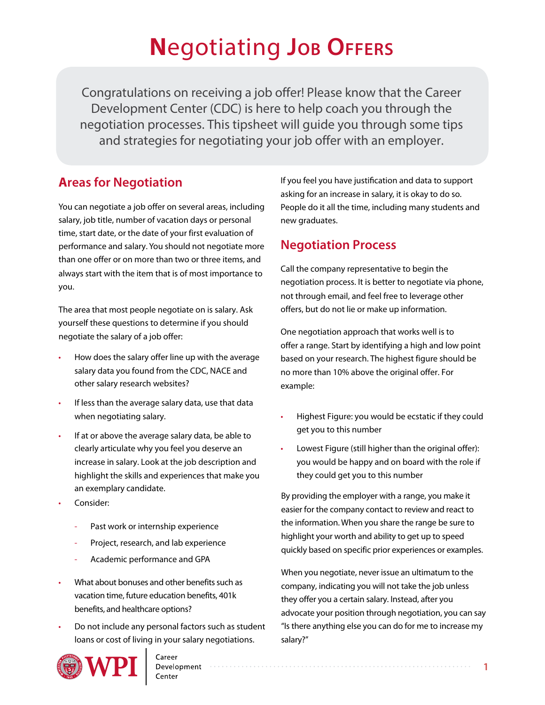# **N**egotiating **Job offers**

Congratulations on receiving a job offer! Please know that the Career Development Center (CDC) is here to help coach you through the negotiation processes. This tipsheet will guide you through some tips and strategies for negotiating your job offer with an employer.

## **Areas for Negotiation**

You can negotiate a job offer on several areas, including salary, job title, number of vacation days or personal time, start date, or the date of your first evaluation of performance and salary. You should not negotiate more than one offer or on more than two or three items, and always start with the item that is of most importance to you.

The area that most people negotiate on is salary. Ask yourself these questions to determine if you should negotiate the salary of a job offer:

- How does the salary offer line up with the average salary data you found from the CDC, NACE and other salary research websites?
- If less than the average salary data, use that data when negotiating salary.
- If at or above the average salary data, be able to clearly articulate why you feel you deserve an increase in salary. Look at the job description and highlight the skills and experiences that make you an exemplary candidate.
- Consider:
	- Past work or internship experience
	- Project, research, and lab experience
	- Academic performance and GPA
- What about bonuses and other benefits such as vacation time, future education benefits, 401k benefits, and healthcare options?
- Do not include any personal factors such as student loans or cost of living in your salary negotiations.



Development

If you feel you have justification and data to support asking for an increase in salary, it is okay to do so. People do it all the time, including many students and new graduates.

### **Negotiation Process**

Call the company representative to begin the negotiation process. It is better to negotiate via phone, not through email, and feel free to leverage other offers, but do not lie or make up information.

One negotiation approach that works well is to offer a range. Start by identifying a high and low point based on your research. The highest figure should be no more than 10% above the original offer. For example:

- Highest Figure: you would be ecstatic if they could get you to this number
- Lowest Figure (still higher than the original offer): you would be happy and on board with the role if they could get you to this number

By providing the employer with a range, you make it easier for the company contact to review and react to the information. When you share the range be sure to highlight your worth and ability to get up to speed quickly based on specific prior experiences or examples.

When you negotiate, never issue an ultimatum to the company, indicating you will not take the job unless they offer you a certain salary. Instead, after you advocate your position through negotiation, you can say "Is there anything else you can do for me to increase my salary?"